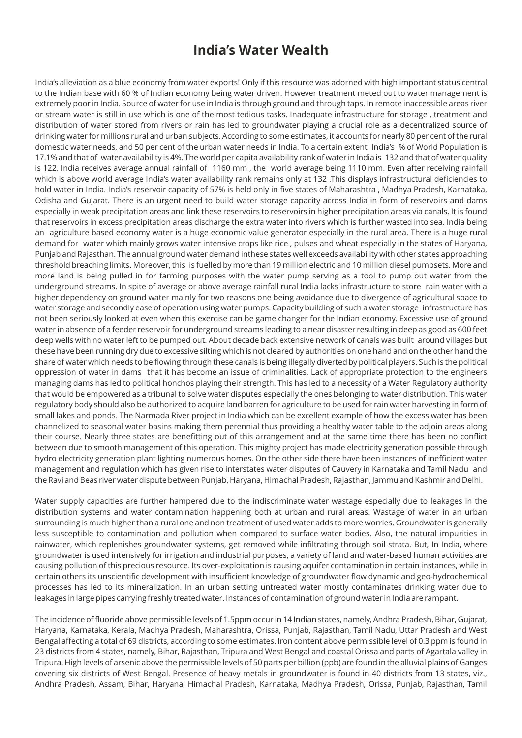## **India's Water Wealth**

India's alleviation as a blue economy from water exports! Only if this resource was adorned with high important status central to the Indian base with 60 % of Indian economy being water driven. However treatment meted out to water management is extremely poor in India. Source of water for use in India is through ground and through taps. In remote inaccessible areas river or stream water is still in use which is one of the most tedious tasks. Inadequate infrastructure for storage , treatment and distribution of water stored from rivers or rain has led to groundwater playing a crucial role as a decentralized source of drinking water for millions rural and urban subjects. According to some estimates, it accounts for nearly 80 per cent of the rural domestic water needs, and 50 per cent of the urban water needs in India. To a certain extent India's % of World Population is 17.1% and that of water availability is 4%. The world per capita availability rank of water in India is 132 and that of water quality is 122. India receives average annual rainfall of 1160 mm , the world average being 1110 mm. Even after receiving rainfall which is above world average India's water availability rank remains only at 132 .This displays infrastructural deficiencies to hold water in India. India's reservoir capacity of 57% is held only in five states of Maharashtra , Madhya Pradesh, Karnataka, Odisha and Gujarat. There is an urgent need to build water storage capacity across India in form of reservoirs and dams especially in weak precipitation areas and link these reservoirs to reservoirs in higher precipitation areas via canals. It is found that reservoirs in excess precipitation areas discharge the extra water into rivers which is further wasted into sea. India being an agriculture based economy water is a huge economic value generator especially in the rural area. There is a huge rural demand for water which mainly grows water intensive crops like rice , pulses and wheat especially in the states of Haryana, Punjab and Rajasthan. The annual ground water demand inthese states well exceeds availability with other states approaching threshold breaching limits. Moreover, this is fuelled by more than 19 million electric and 10 million diesel pumpsets. More and more land is being pulled in for farming purposes with the water pump serving as a tool to pump out water from the underground streams. In spite of average or above average rainfall rural India lacks infrastructure to store rain water with a higher dependency on ground water mainly for two reasons one being avoidance due to divergence of agricultural space to water storage and secondly ease of operation using water pumps. Capacity building of such a water storage infrastructure has not been seriously looked at even when this exercise can be game changer for the Indian economy. Excessive use of ground water in absence of a feeder reservoir for underground streams leading to a near disaster resulting in deep as good as 600 feet deep wells with no water left to be pumped out. About decade back extensive network of canals was built around villages but these have been running dry due to excessive silting which is not cleared by authorities on one hand and on the other hand the share of water which needs to be flowing through these canals is being illegally diverted by political players. Such is the political oppression of water in dams that it has become an issue of criminalities. Lack of appropriate protection to the engineers managing dams has led to political honchos playing their strength. This has led to a necessity of a Water Regulatory authority that would be empowered as a tribunal to solve water disputes especially the ones belonging to water distribution. This water regulatory body should also be authorized to acquire land barren for agriculture to be used for rain water harvesting in form of small lakes and ponds. The Narmada River project in India which can be excellent example of how the excess water has been channelized to seasonal water basins making them perennial thus providing a healthy water table to the adjoin areas along their course. Nearly three states are benefitting out of this arrangement and at the same time there has been no conflict between due to smooth management of this operation. This mighty project has made electricity generation possible through hydro electricity generation plant lighting numerous homes. On the other side there have been instances of inefficient water management and regulation which has given rise to interstates water disputes of Cauvery in Karnataka and Tamil Nadu and the Ravi and Beas river water dispute between Punjab, Haryana, Himachal Pradesh, Rajasthan, Jammu and Kashmir and Delhi.

Water supply capacities are further hampered due to the indiscriminate water wastage especially due to leakages in the distribution systems and water contamination happening both at urban and rural areas. Wastage of water in an urban surrounding is much higher than a rural one and non treatment of used water adds to more worries. Groundwater is generally less susceptible to contamination and pollution when compared to surface water bodies. Also, the natural impurities in rainwater, which replenishes groundwater systems, get removed while infiltrating through soil strata. But, In India, where groundwater is used intensively for irrigation and industrial purposes, a variety of land and water-based human activities are causing pollution of this precious resource. Its over-exploitation is causing aquifer contamination in certain instances, while in certain others its unscientific development with insufficient knowledge of groundwater flow dynamic and geo-hydrochemical processes has led to its mineralization. In an urban setting untreated water mostly contaminates drinking water due to leakages in large pipes carrying freshly treated water. Instances of contamination of ground water in India are rampant.

The incidence of fluoride above permissible levels of 1.5ppm occur in 14 Indian states, namely, Andhra Pradesh, Bihar, Gujarat, Haryana, Karnataka, Kerala, Madhya Pradesh, Maharashtra, Orissa, Punjab, Rajasthan, Tamil Nadu, Uttar Pradesh and West Bengal affecting a total of 69 districts, according to some estimates. Iron content above permissible level of 0.3 ppm is found in 23 districts from 4 states, namely, Bihar, Rajasthan, Tripura and West Bengal and coastal Orissa and parts of Agartala valley in Tripura. High levels of arsenic above the permissible levels of 50 parts per billion (ppb) are found in the alluvial plains of Ganges covering six districts of West Bengal. Presence of heavy metals in groundwater is found in 40 districts from 13 states, viz., Andhra Pradesh, Assam, Bihar, Haryana, Himachal Pradesh, Karnataka, Madhya Pradesh, Orissa, Punjab, Rajasthan, Tamil